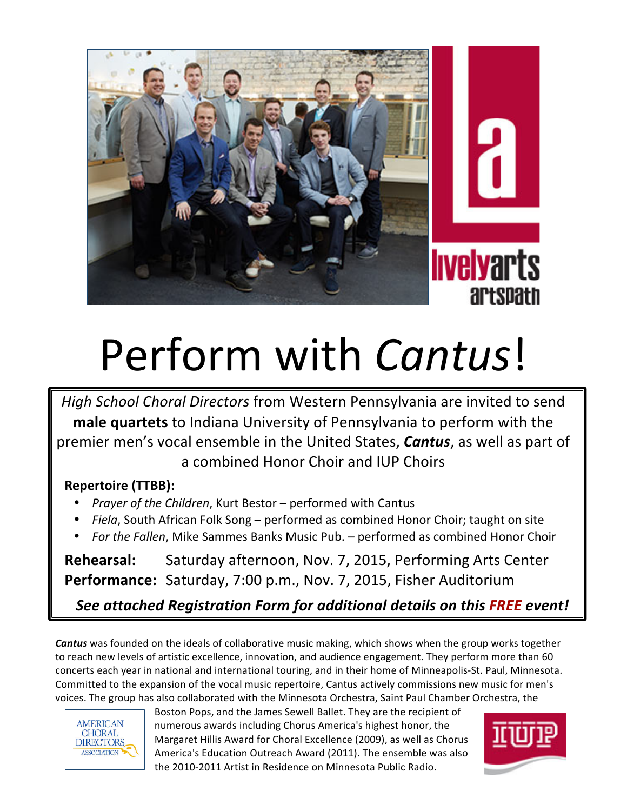

## Perform with *Cantus*!

*High School Choral Directors* from Western Pennsylvania are invited to send **male quartets** to Indiana University of Pennsylvania to perform with the premier men's vocal ensemble in the United States, **Cantus**, as well as part of a combined Honor Choir and IUP Choirs

## **Repertoire (TTBB):**

- Prayer of the Children, Kurt Bestor performed with Cantus
- Fiela, South African Folk Song performed as combined Honor Choir; taught on site
- For the Fallen, Mike Sammes Banks Music Pub. performed as combined Honor Choir

Rehearsal: Saturday afternoon, Nov. 7, 2015, Performing Arts Center **Performance:** Saturday, 7:00 p.m., Nov. 7, 2015, Fisher Auditorium

*See attached Registration Form for additional details on this FREE event!*

**Cantus** was founded on the ideals of collaborative music making, which shows when the group works together to reach new levels of artistic excellence, innovation, and audience engagement. They perform more than 60 concerts each year in national and international touring, and in their home of Minneapolis-St. Paul, Minnesota. Committed to the expansion of the vocal music repertoire, Cantus actively commissions new music for men's voices. The group has also collaborated with the Minnesota Orchestra, Saint Paul Chamber Orchestra, the



Boston Pops, and the James Sewell Ballet. They are the recipient of numerous awards including Chorus America's highest honor, the Margaret Hillis Award for Choral Excellence (2009), as well as Chorus America's Education Outreach Award (2011). The ensemble was also the 2010-2011 Artist in Residence on Minnesota Public Radio.